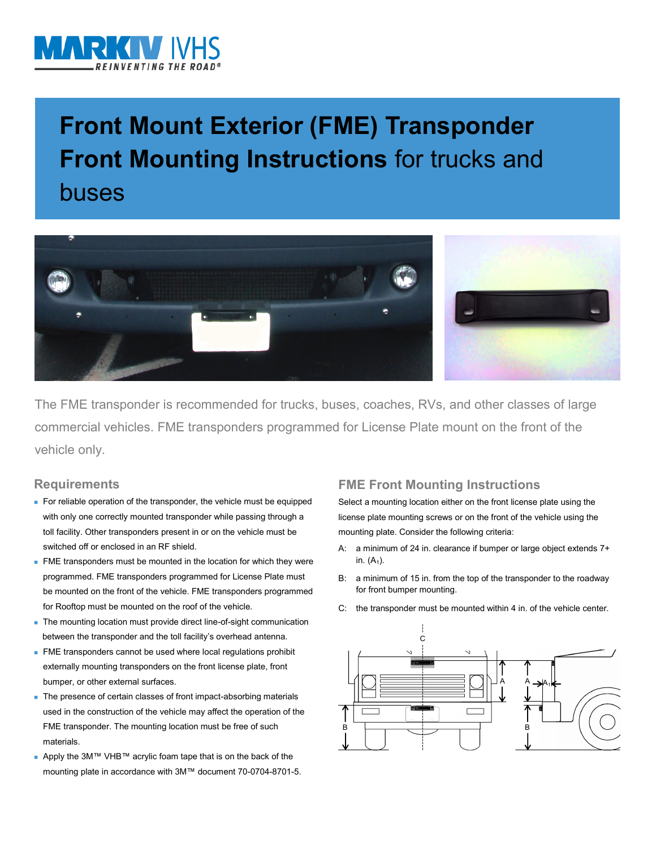

# **Front Mount Exterior (FME) Transponder Front Mounting Instructions** for trucks and buses



The FME transponder is recommended for trucks, buses, coaches, RVs, and other classes of large commercial vehicles. FME transponders programmed for License Plate mount on the front of the vehicle only.

### **Requirements**

- For reliable operation of the transponder, the vehicle must be equipped with only one correctly mounted transponder while passing through a toll facility. Other transponders present in or on the vehicle must be switched off or enclosed in an RF shield.
- **FME** transponders must be mounted in the location for which they were programmed. FME transponders programmed for License Plate must be mounted on the front of the vehicle. FME transponders programmed for Rooftop must be mounted on the roof of the vehicle.
- The mounting location must provide direct line-of-sight communication between the transponder and the toll facility's overhead antenna.
- **FME** transponders cannot be used where local regulations prohibit externally mounting transponders on the front license plate, front bumper, or other external surfaces.
- The presence of certain classes of front impact-absorbing materials used in the construction of the vehicle may affect the operation of the FME transponder. The mounting location must be free of such materials.
- Apply the 3M™ VHB™ acrylic foam tape that is on the back of the mounting plate in accordance with 3M™ document 70-0704-8701-5.

## **FME Front Mounting Instructions**

Select a mounting location either on the front license plate using the license plate mounting screws or on the front of the vehicle using the mounting plate. Consider the following criteria:

- A: a minimum of 24 in. clearance if bumper or large object extends 7+ in.  $(A_1)$ .
- B: a minimum of 15 in. from the top of the transponder to the roadway for front bumper mounting.
- C: the transponder must be mounted within 4 in. of the vehicle center.